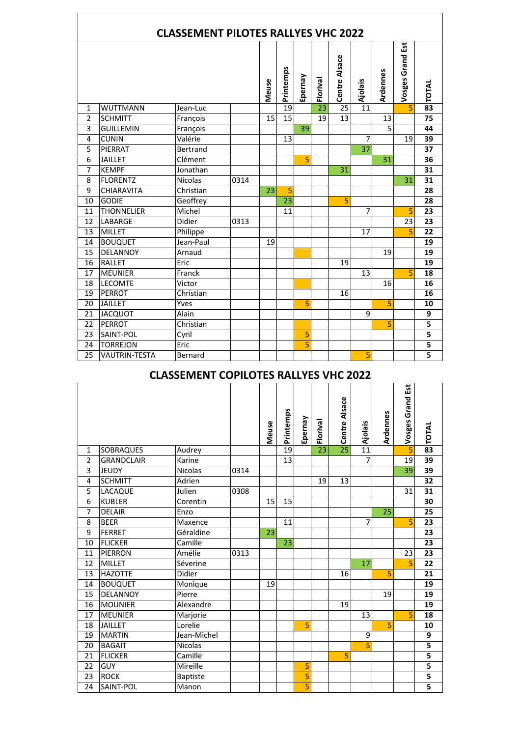|                |                      | <b>CLASSEMENT PILOTES RALLYES VHC 2022</b> |      |       |                 |         |                 |                 |         |                |                  |                         |
|----------------|----------------------|--------------------------------------------|------|-------|-----------------|---------|-----------------|-----------------|---------|----------------|------------------|-------------------------|
|                |                      |                                            |      | Meuse | Printemps       | Epernay | Florival        | Centre Alsace   | Ajolais | Ardennes       | Vosges Grand Est | <b>22 TOTAL</b>         |
| $\mathbf{1}$   | <b>WUTTMANN</b>      | Jean-Luc                                   |      |       | $\overline{19}$ |         | $\overline{23}$ | $\overline{2}5$ | 11      |                | 5                |                         |
| $\overline{2}$ | <b>SCHMITT</b>       | François                                   |      | 15    | 15              |         | 19              | 13              |         | 13             |                  | 75                      |
| 3              | <b>GUILLEMIN</b>     | François                                   |      |       |                 | 39      |                 |                 |         | $\overline{5}$ |                  | 44                      |
| $\overline{4}$ | <b>CUNIN</b>         | Valérie                                    |      |       | 13              |         |                 |                 | 7       |                | 19               | 39                      |
| 5              | PIERRAT              | <b>Bertrand</b>                            |      |       |                 |         |                 |                 | 37      |                |                  | 37                      |
| $\overline{6}$ | <b>JAILLET</b>       | Clément                                    |      |       |                 | 5       |                 |                 |         | 31             |                  | 36                      |
| 7              | <b>KEMPF</b>         | Jonathan                                   |      |       |                 |         |                 | $\overline{31}$ |         |                |                  | 31                      |
| 8              | <b>FLORENTZ</b>      | <b>Nicolas</b>                             | 0314 |       |                 |         |                 |                 |         |                | 31               | 31                      |
| 9              | <b>CHIARAVITA</b>    | Christian                                  |      | 23    | 5               |         |                 |                 |         |                |                  | 28                      |
| 10             | <b>GODIE</b>         | Geoffrey                                   |      |       | 23              |         |                 | 5               |         |                |                  | 28                      |
| 11             | <b>THONNELIER</b>    | Michel                                     |      |       | 11              |         |                 |                 | 7       |                | 5                | 23                      |
| 12             | LABARGE              | Didier                                     | 0313 |       |                 |         |                 |                 |         |                | 23               | 23                      |
| 13             | MILLET               | Philippe                                   |      |       |                 |         |                 |                 | 17      |                | 5                | 22                      |
| 14             | <b>BOUQUET</b>       | Jean-Paul                                  |      | 19    |                 |         |                 |                 |         |                |                  | 19                      |
| 15             | <b>DELANNOY</b>      | Arnaud                                     |      |       |                 |         |                 |                 |         | 19             |                  | 19                      |
| 16             | <b>RALLET</b>        | Eric                                       |      |       |                 |         |                 | 19              |         |                |                  | 19                      |
| 17             | <b>MEUNIER</b>       | Franck                                     |      |       |                 |         |                 |                 | 13      |                | 5                | 18                      |
| 18             | <b>LECOMTE</b>       | Victor                                     |      |       |                 |         |                 |                 |         | 16             |                  | 16                      |
| 19             | PERROT               | Christian                                  |      |       |                 |         |                 | 16              |         |                |                  | 16                      |
| 20             | <b>JAILLET</b>       | Yves                                       |      |       |                 | 5       |                 |                 |         | 5              |                  | 10                      |
| 21             | <b>JACQUOT</b>       | Alain                                      |      |       |                 |         |                 |                 | 9       |                |                  | 9                       |
| 22             | PERROT               | Christian                                  |      |       |                 |         |                 |                 |         | 5              |                  | 5                       |
| 23             | SAINT-POL            | Cyril                                      |      |       |                 | 5       |                 |                 |         |                |                  | 5                       |
| 24             | <b>TORREJON</b>      | Eric                                       |      |       |                 | 5       |                 |                 |         |                |                  | $\overline{\mathbf{5}}$ |
| 25             | <b>VAUTRIN-TESTA</b> | Bernard                                    |      |       |                 |         |                 |                 | 5       |                |                  |                         |

L

 $\mathbf{r}$ 

## **CLASSEMENT COPILOTES RALLYES VHC 2022**

|                |                   |                |      | Meuse | Printemps | Epernay                 | Floriva         | Centre Alsace   | Ajolais         | Ardennes | Vosges Grand Est | <b>22 TOTAL</b>         |
|----------------|-------------------|----------------|------|-------|-----------|-------------------------|-----------------|-----------------|-----------------|----------|------------------|-------------------------|
| $\mathbf{1}$   | <b>SOBRAQUES</b>  | Audrey         |      |       | 19        |                         | $\overline{23}$ | $\overline{25}$ | $\overline{11}$ |          | $\overline{5}$   |                         |
| $\overline{2}$ | <b>GRANDCLAIR</b> | Karine         |      |       | 13        |                         |                 |                 | $\overline{7}$  |          | 19               | 39                      |
| 3              | <b>JEUDY</b>      | <b>Nicolas</b> | 0314 |       |           |                         |                 |                 |                 |          | 39               | 39                      |
| 4              | <b>SCHMITT</b>    | Adrien         |      |       |           |                         | 19              | 13              |                 |          |                  | $\overline{32}$         |
| 5              | LACAQUE           | Julien         | 0308 |       |           |                         |                 |                 |                 |          | 31               | 31                      |
| 6              | <b>KUBLER</b>     | Corentin       |      | 15    | 15        |                         |                 |                 |                 |          |                  | 30                      |
| $\overline{7}$ | <b>DELAIR</b>     | Enzo           |      |       |           |                         |                 |                 |                 | 25       |                  | 25                      |
| 8              | <b>BEER</b>       | Maxence        |      |       | 11        |                         |                 |                 | 7               |          | 5                | 23                      |
| 9              | <b>FERRET</b>     | Géraldine      |      | 23    |           |                         |                 |                 |                 |          |                  | 23                      |
| 10             | <b>FLICKER</b>    | Camille        |      |       | 23        |                         |                 |                 |                 |          |                  | 23                      |
| 11             | <b>PIERRON</b>    | Amélie         | 0313 |       |           |                         |                 |                 |                 |          | 23               | 23                      |
| 12             | <b>MILLET</b>     | Séverine       |      |       |           |                         |                 |                 | 17              |          | 5                | 22                      |
| 13             | <b>HAZOTTE</b>    | Didier         |      |       |           |                         |                 | 16              |                 | 5        |                  | 21                      |
| 14             | <b>BOUQUET</b>    | Monique        |      | 19    |           |                         |                 |                 |                 |          |                  | 19                      |
| 15             | <b>DELANNOY</b>   | Pierre         |      |       |           |                         |                 |                 |                 | 19       |                  | 19                      |
| 16             | <b>MOUNIER</b>    | Alexandre      |      |       |           |                         |                 | 19              |                 |          |                  | 19                      |
| 17             | <b>MEUNIER</b>    | Marjorie       |      |       |           |                         |                 |                 | 13              |          | 5                | $\overline{18}$         |
| 18             | <b>JAILLET</b>    | Lorelie        |      |       |           | 5                       |                 |                 |                 | 5        |                  | 10                      |
| 19             | <b>MARTIN</b>     | Jean-Michel    |      |       |           |                         |                 |                 | 9               |          |                  | 9                       |
| 20             | <b>BAGAIT</b>     | Nicolas        |      |       |           |                         |                 |                 | 5               |          |                  | 5                       |
| 21             | <b>FLICKER</b>    | Camille        |      |       |           |                         |                 | 5               |                 |          |                  | $\overline{\mathbf{5}}$ |
| 22             | <b>GUY</b>        | Mireille       |      |       |           | 5                       |                 |                 |                 |          |                  | $\overline{\mathbf{5}}$ |
| 23             | <b>ROCK</b>       | Baptiste       |      |       |           | 5                       |                 |                 |                 |          |                  | 5                       |
| 24             | SAINT-POL         | Manon          |      |       |           | $\overline{\mathbf{5}}$ |                 |                 |                 |          |                  | $\overline{\mathbf{s}}$ |